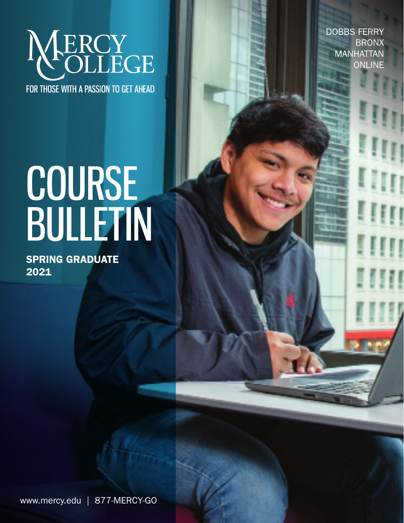

DOBBS FERRY BRONX **MANHATTAN ONLINE** 

# COURSE BULLETIN

Spring GRADUATE 2021

www.mercy.edu | 877-MERCY-GO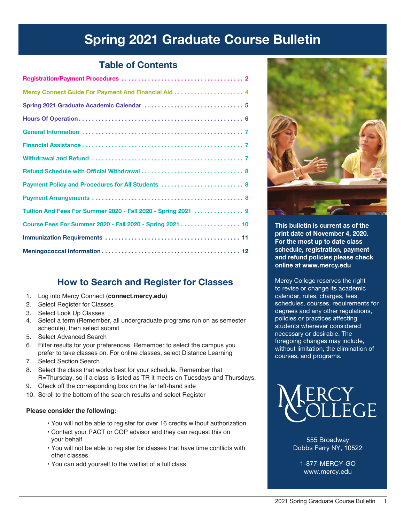# Spring 2021 Graduate Course Bulletin

## Table of Contents

| Payment Policy and Procedures for All Students  8             |
|---------------------------------------------------------------|
|                                                               |
| Tuition And Fees For Summer 2020 - Fall 2020 - Spring 2021  9 |
| Course Fees For Summer 2020 - Fall 2020 - Spring 2021 10      |
|                                                               |
|                                                               |

## How to Search and Register for Classes

- 1. Log into Mercy Connect (**connect.mercy.edu**)
- 2. Select Register for Classes
- 3. Select Look Up Classes
- 4. Select a term (Remember, all undergraduate programs run on as semester schedule), then select submit
- 5. Select Advanced Search
- 6. Filter results for your preferences. Remember to select the campus you prefer to take classes on. For online classes, select Distance Learning
- 7. Select Section Search
- 8. Select the class that works best for your schedule. Remember that R=Thursday, so if a class is listed as TR it meets on Tuesdays and Thursdays.
- 9. Check off the corresponding box on the far left-hand side
- 10. Scroll to the bottom of the search results and select Register

#### **Please consider the following:**

- You will not be able to register for over 16 credits without authorization.
- Contact your PACT or COP advisor and they can request this on your behalf
- You will not be able to register for classes that have time conflicts with other classes.
- You can add yourself to the waitlist of a full class



This bulletin is current as of the print date of November 4, 2020. For the most up to date class schedule, registration, payment and refund policies please check online at www.mercy.edu

Mercy College reserves the right to revise or change its academic calendar, rules, charges, fees, schedules, courses, requirements for degrees and any other regulations, policies or practices affecting students whenever considered necessary or desirable. The foregoing changes may include, without limitation, the elimination of courses, and programs.



555 Broadway Dobbs Ferry NY, 10522

1-877-MERCY-GO www.mercy.edu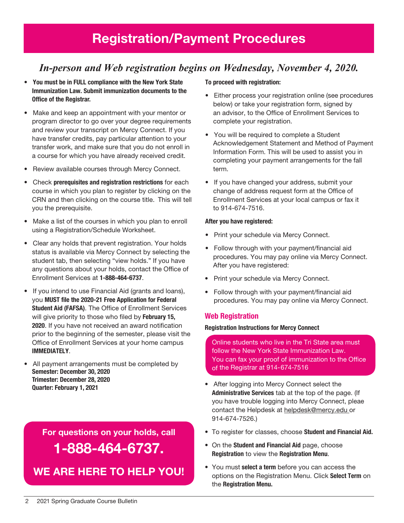## *In-person and Web registration begins on Wednesday, November 4, 2020.*

- You must be in FULL compliance with the New York State Immunization Law. Submit immunization documents to the Office of the Registrar.
- Make and keep an appointment with your mentor or program director to go over your degree requirements and review your transcript on Mercy Connect. If you have transfer credits, pay particular attention to your transfer work, and make sure that you do not enroll in a course for which you have already received credit.
- Review available courses through Mercy Connect.
- Check prerequisites and registration restrictions for each course in which you plan to register by clicking on the CRN and then clicking on the course title. This will tell you the prerequisite.
- Make a list of the courses in which you plan to enroll using a Registration/Schedule Worksheet.
- Clear any holds that prevent registration. Your holds status is available via Mercy Connect by selecting the student tab, then selecting "view holds." If you have any questions about your holds, contact the Office of Enrollment Services at 1-888-464-6737.
- If you intend to use Financial Aid (grants and loans), you MUST file the 2020-21 Free Application for Federal Student Aid (FAFSA). The Office of Enrollment Services will give priority to those who filed by February 15, 2020. If you have not received an award notification prior to the beginning of the semester, please visit the Office of Enrollment Services at your home campus IMMEDIATELY.
- All payment arrangements must be completed by Semester: December 30, 2020 Trimester: December 28, 2020 Quarter: February 1, 2021

For questions on your holds, call 1-888-464-6737.

We are here to help You!

#### To proceed with registration:

- Either process your registration online (see procedures below) or take your registration form, signed by an advisor, to the Office of Enrollment Services to complete your registration.
- You will be required to complete a Student Acknowledgement Statement and Method of Payment Information Form. This will be used to assist you in completing your payment arrangements for the fall term.
- If you have changed your address, submit your change of address request form at the Office of Enrollment Services at your local campus or fax it to 914-674-7516.

#### After you have registered:

- Print your schedule via Mercy Connect.
- Follow through with your payment/financial aid procedures. You may pay online via Mercy Connect. After you have registered:
- Print your schedule via Mercy Connect.
- Follow through with your payment/financial aid procedures. You may pay online via Mercy Connect.

#### Web Registration

#### Registration Instructions for Mercy Connect

Online students who live in the Tri State area must follow the New York State Immunization Law. You can fax your proof of immunization to the Office of the Registrar at 914-674-7516

- After logging into Mercy Connect select the Administrative Services tab at the top of the page. (If you have trouble logging into Mercy Connect, pleae contact the Helpdesk at helpdesk@mercy.edu or 914-674-7526.)
- To register for classes, choose Student and Financial Aid.
- On the Student and Financial Aid page, choose Registration to view the Registration Menu.
- You must select a term before you can access the options on the Registration Menu. Click Select Term on the Registration Menu.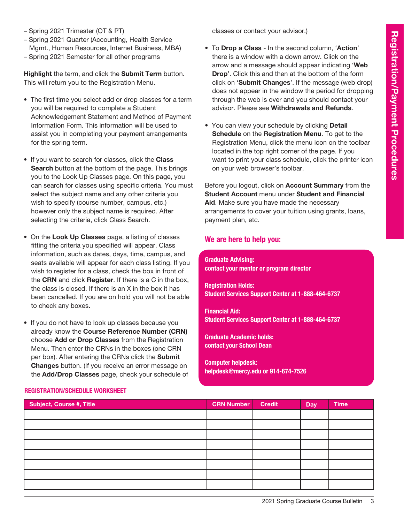- Spring 2021 Trimester (OT & PT)
- Spring 2021 Quarter (Accounting, Health Service Mgmt., Human Resources, Internet Business, MBA)
- Spring 2021 Semester for all other programs

Highlight the term, and click the Submit Term button. This will return you to the Registration Menu.

- The first time you select add or drop classes for a term you will be required to complete a Student Acknowledgement Statement and Method of Payment Information Form. This information will be used to assist you in completing your payment arrangements for the spring term.
- If you want to search for classes, click the Class Search button at the bottom of the page. This brings you to the Look Up Classes page. On this page, you can search for classes using specific criteria. You must select the subject name and any other criteria you wish to specify (course number, campus, etc.) however only the subject name is required. After selecting the criteria, click Class Search.
- On the Look Up Classes page, a listing of classes fitting the criteria you specified will appear. Class information, such as dates, days, time, campus, and seats available will appear for each class listing. If you wish to register for a class, check the box in front of the CRN and click Register. If there is a C in the box, the class is closed. If there is an X in the box it has been cancelled. If you are on hold you will not be able to check any boxes.
- If you do not have to look up classes because you already know the Course Reference Number (CRN) choose Add or Drop Classes from the Registration Menu. Then enter the CRNs in the boxes (one CRN per box). After entering the CRNs click the Submit Changes button. (If you receive an error message on the Add/Drop Classes page, check your schedule of

classes or contact your advisor.)

- To Drop a Class In the second column, 'Action' there is a window with a down arrow. Click on the arrow and a message should appear indicating 'Web Drop'. Click this and then at the bottom of the form click on 'Submit Changes'. If the message (web drop) does not appear in the window the period for dropping through the web is over and you should contact your advisor. Please see Withdrawals and Refunds.
- You can view your schedule by clicking **Detail** Schedule on the Registration Menu. To get to the Registration Menu, click the menu icon on the toolbar located in the top right corner of the page. If you want to print your class schedule, click the printer icon on your web browser's toolbar.

Before you logout, click on Account Summary from the Student Account menu under Student and Financial Aid. Make sure you have made the necessary arrangements to cover your tuition using grants, loans, payment plan, etc.

#### We are here to help you:

Graduate Advising: contact your mentor or program director

Registration Holds: Student Services Support Center at 1-888-464-6737

Financial Aid: Student Services Support Center at 1-888-464-6737

Graduate Academic holds: contact your School Dean

Computer helpdesk: helpdesk@mercy.edu or 914-674-7526

| <b>Subject, Course #, Title</b> | <b>CRN Number</b> | <b>Credit</b> | <b>Day</b> | <b>Time</b> |
|---------------------------------|-------------------|---------------|------------|-------------|
|                                 |                   |               |            |             |
|                                 |                   |               |            |             |
|                                 |                   |               |            |             |
|                                 |                   |               |            |             |
|                                 |                   |               |            |             |
|                                 |                   |               |            |             |
|                                 |                   |               |            |             |
|                                 |                   |               |            |             |

#### Registration/Schedule Worksheet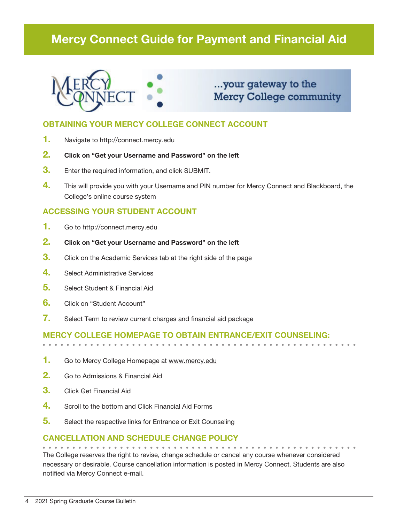# Mercy Connect Guide for Payment and Financial Aid



## ...your gateway to the **Mercy College community**

## OBTAINING YOUR MERCY COLLEGE CONNECT ACCOUNT

- 1. Navigate to http://connect.mercy.edu
- 2. Click on "Get your Username and Password" on the left
- **3.** Enter the required information, and click SUBMIT.
- 4. This will provide you with your Username and PIN number for Mercy Connect and Blackboard, the College's online course system

#### ACCESSING YOUR STUDENT ACCOUNT

- 1. Go to http://connect.mercy.edu
- 2. Click on "Get your Username and Password" on the left
- **3.** Click on the Academic Services tab at the right side of the page
- 4. Select Administrative Services
- 5. Select Student & Financial Aid
- 6. Click on "Student Account"
- 7. Select Term to review current charges and financial aid package

#### Mercy College homepage to obtain entrance/exit counseling:

- 1. Go to Mercy College Homepage at www.mercy.edu
- 2. Go to Admissions & Financial Aid
- **3.** Click Get Financial Aid
- 4. Scroll to the bottom and Click Financial Aid Forms
- 5. Select the respective links for Entrance or Exit Counseling

#### Cancellation and Schedule Change Policy

The College reserves the right to revise, change schedule or cancel any course whenever considered necessary or desirable. Course cancellation information is posted in Mercy Connect. Students are also notified via Mercy Connect e-mail.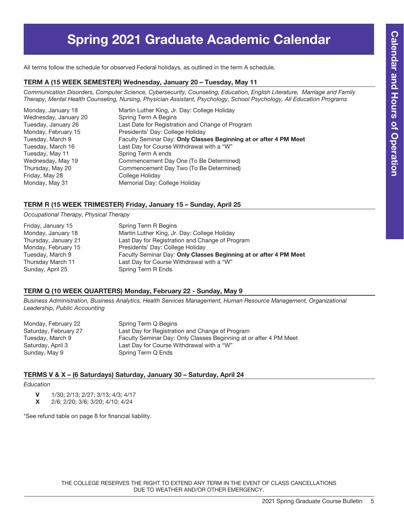# Spring 2021 Graduate Academic Calendar

All terms follow the schedule for observed Federal holidays, as outlined in the term A schedule.

#### TERM A (15 Week Semester) Wednesday, January 20 – Tuesday, May 11

*Communication Disorders, Computer Science, Cybersecurity, Counseling, Education, English Literature, Marriage and Family Therapy, Mental Health Counseling, Nursing, Physician Assistant, Psychology, School Psychology, All Education Programs* 

| Martin Luther King, Jr. Day: College Holiday                      |
|-------------------------------------------------------------------|
| Spring Term A Begins                                              |
| Last Date for Registration and Change of Program                  |
| Presidents' Day: College Holiday                                  |
| Faculty Seminar Day: Only Classes Beginning at or after 4 PM Meet |
| Last Day for Course Withdrawal with a "W"                         |
| Spring Term A ends                                                |
| Commencement Day One (To Be Determined)                           |
| Commencement Day Two (To Be Determined)                           |
| College Holiday                                                   |
| Memorial Day: College Holiday                                     |
|                                                                   |

#### TERM R (15 Week Trimester) Friday, January 15 – Sunday, April 25

*Occupational Therapy, Physical Therapy*

| Friday, January 15   | Spring Term R Begins                                              |
|----------------------|-------------------------------------------------------------------|
| Monday, January 18   | Martin Luther King, Jr. Day: College Holiday                      |
| Thursday, January 21 | Last Day for Registration and Change of Program                   |
| Monday, February 15  | Presidents' Day: College Holiday                                  |
| Tuesday, March 9     | Faculty Seminar Day: Only Classes Beginning at or after 4 PM Meet |
| Thursday March 11    | Last Day for Course Withdrawal with a "W"                         |
| Sunday, April 25     | Spring Term R Ends                                                |

#### TERM Q (10 WEEK QUARTERS) Monday, February 22 - Sunday, May 9

*Business Administration, Business Analytics, Health Services Management, Human Resource Management, Organizational Leadership, Public Accounting*

| Monday, February 22   | Spring Term Q Begins                                              |
|-----------------------|-------------------------------------------------------------------|
| Saturday, February 27 | Last Day for Registration and Change of Program                   |
| Tuesday, March 9      | Faculty Seminar Day: Only Classes Beginning at or after 4 PM Meet |
| Saturday, April 3     | Last Day for Course Withdrawal with a "W"                         |
| Sunday, May 9         | Spring Term Q Ends                                                |

#### TERMS V & X – (6 Saturdays) Saturday, January 30 – Saturday, April 24

#### *Education*

- V 1/30; 2/13; 2/27; 3/13; 4/3; 4/17
- X 2/6; 2/20; 3/6; 3/20; 4/10; 4/24

\*See refund table on page 8 for financial liability.

THE COLLEGE RESERVES THE RIGHT TO EXTEND ANY TERM IN THE EVENT OF CLASS CANCELLATIONS DUE TO WEATHER AND/OR OTHER EMERGENCY.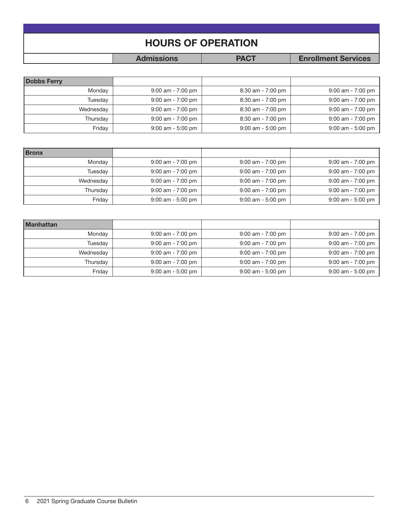| <b>HOURS OF OPERATION</b> |                   |             |                            |  |  |
|---------------------------|-------------------|-------------|----------------------------|--|--|
|                           |                   |             |                            |  |  |
|                           | <b>Admissions</b> | <b>PACT</b> | <b>Enrollment Services</b> |  |  |

| <b>Dobbs Ferry</b> |                     |                     |                     |
|--------------------|---------------------|---------------------|---------------------|
| Monday             | $9:00$ am - 7:00 pm | $8:30$ am - 7:00 pm | $9:00$ am - 7:00 pm |
| Tuesday            | $9:00$ am - 7:00 pm | $8:30$ am - 7:00 pm | $9:00$ am - 7:00 pm |
| Wednesday          | $9:00$ am - 7:00 pm | $8:30$ am - 7:00 pm | $9:00$ am - 7:00 pm |
| Thursdav           | $9:00$ am - 7:00 pm | $8:30$ am - 7:00 pm | $9:00$ am - 7:00 pm |
| Friday             | $9:00$ am - 5:00 pm | $9:00$ am - 5:00 pm | $9:00$ am - 5:00 pm |

| <b>Bronx</b> |                     |                     |                     |
|--------------|---------------------|---------------------|---------------------|
| Monday       | $9:00$ am - 7:00 pm | $9:00$ am - 7:00 pm | $9:00$ am - 7:00 pm |
| Tuesday      | $9:00$ am - 7:00 pm | $9:00$ am - 7:00 pm | $9:00$ am - 7:00 pm |
| Wednesday    | $9:00$ am - 7:00 pm | $9:00$ am - 7:00 pm | $9:00$ am - 7:00 pm |
| Thursday     | $9:00$ am - 7:00 pm | $9:00$ am - 7:00 pm | $9:00$ am - 7:00 pm |
| Friday       | $9:00$ am - 5:00 pm | $9:00$ am - 5:00 pm | $9:00$ am - 5:00 pm |

| <b>Manhattan</b> |                     |                     |                     |
|------------------|---------------------|---------------------|---------------------|
| Monday           | $9:00$ am - 7:00 pm | $9:00$ am - 7:00 pm | $9:00$ am - 7:00 pm |
| Tuesday          | $9:00$ am - 7:00 pm | $9:00$ am - 7:00 pm | $9:00$ am - 7:00 pm |
| Wednesday        | $9:00$ am - 7:00 pm | $9:00$ am - 7:00 pm | $9:00$ am - 7:00 pm |
| Thursday         | $9:00$ am - 7:00 pm | $9:00$ am - 7:00 pm | $9:00$ am - 7:00 pm |
| Friday           | $9:00$ am - 5:00 pm | $9:00$ am - 5:00 pm | 9:00 am - 5:00 pm   |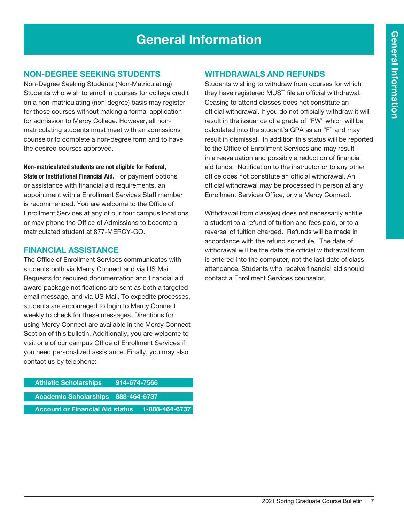# General Information

#### Non-Degree Seeking Students

Non-Degree Seeking Students (Non-Matriculating) Students who wish to enroll in courses for college credit on a non-matriculating (non-degree) basis may register for those courses without making a formal application for admission to Mercy College. However, all nonmatriculating students must meet with an admissions counselor to complete a non-degree form and to have the desired courses approved.

#### Non-matriculated students are not eligible for Federal,

State or Institutional Financial Aid. For payment options or assistance with financial aid requirements, an appointment with a Enrollment Services Staff member is recommended. You are welcome to the Office of Enrollment Services at any of our four campus locations or may phone the Office of Admissions to become a matriculated student at 877-MERCY-GO.

#### Financial Assistance

The Office of Enrollment Services communicates with students both via Mercy Connect and via US Mail. Requests for required documentation and financial aid award package notifications are sent as both a targeted email message, and via US Mail. To expedite processes, students are encouraged to login to Mercy Connect weekly to check for these messages. Directions for using Mercy Connect are available in the Mercy Connect Section of this bulletin. Additionally, you are welcome to visit one of our campus Office of Enrollment Services if you need personalized assistance. Finally, you may also contact us by telephone:

| <b>Athletic Scholarships</b>           | 914-674-7566 |                 |
|----------------------------------------|--------------|-----------------|
| Academic Scholarships 888-464-6737     |              |                 |
| <b>Account or Financial Aid status</b> |              | .1-888-464-6737 |

#### Withdrawals and Refunds

Students wishing to withdraw from courses for which they have registered MUST file an official withdrawal. Ceasing to attend classes does not constitute an official withdrawal. If you do not officially withdraw it will result in the issuance of a grade of "FW" which will be calculated into the student's GPA as an "F" and may result in dismissal. In addition this status will be reported to the Office of Enrollment Services and may result in a reevaluation and possibly a reduction of financial aid funds. Notification to the instructor or to any other office does not constitute an official withdrawal. An official withdrawal may be processed in person at any Enrollment Services Office, or via Mercy Connect.

Withdrawal from class(es) does not necessarily entitle a student to a refund of tuition and fees paid, or to a reversal of tuition charged. Refunds will be made in accordance with the refund schedule. The date of withdrawal will be the date the official withdrawal form is entered into the computer, not the last date of class attendance. Students who receive financial aid should contact a Enrollment Services counselor.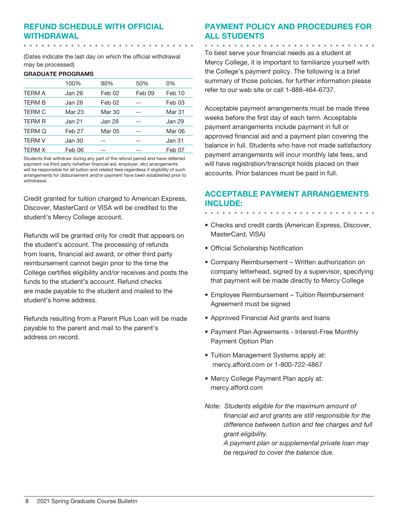## Refund Schedule with Official Withdrawal

(Dates indicate the last day on which the official withdrawal may be processed)

#### GRADUATE PROGRAMS

|               | 100%              | 80%    | 50%    | 0%            |
|---------------|-------------------|--------|--------|---------------|
| <b>TERM A</b> | Jan 26            | Feb 02 | Feb 09 | Feb 10        |
| <b>TERM B</b> | Jan 26            | Feb 02 |        | Feb 03        |
| <b>TERM C</b> | Mar 23            | Mar 30 |        | Mar 31        |
| <b>TERM R</b> | Jan 21            | Jan 28 |        | Jan 29        |
| <b>TERM Q</b> | Feb <sub>27</sub> | Mar 05 |        | <b>Mar 06</b> |
| <b>TERM V</b> | Jan 30            |        |        | Jan 31        |
| <b>TERM X</b> | Feb 06            |        |        | Feb 07        |

Students that withdraw during any part of the refund period and have deferred payment via third party (whether financial aid, employer, etc) arrangements will be responsible for all tuition and related fees regardless if eligibility of such arrangements for disbursement and/or payment have been established prior to withdrawal.

Credit granted for tuition charged to American Express, Discover, MasterCard or VISA will be credited to the student's Mercy College account.

Refunds will be granted only for credit that appears on the student's account. The processing of refunds from loans, financial aid award, or other third party reimbursement cannot begin prior to the time the College certifies eligibility and/or receives and posts the funds to the student's account. Refund checks are made payable to the student and mailed to the student's home address.

Refunds resulting from a Parent Plus Loan will be made payable to the parent and mail to the parent's address on record.

## Payment Policy and Procedures for all Students

. . . . . . . . . . . . .

To best serve your financial needs as a student at Mercy College, it is important to familiarize yourself with the College's payment policy. The following is a brief summary of those policies, for further information please refer to our web site or call 1-888-464-6737.

Acceptable payment arrangements must be made three weeks before the first day of each term. Acceptable payment arrangements include payment in full or approved financial aid and a payment plan covering the balance in full. Students who have not made satisfactory payment arrangements will incur monthly late fees, and will have registration/transcript holds placed on their accounts. Prior balances must be paid in full.

## Acceptable Payment Arrangements include:

- Checks and credit cards (American Express, Discover, MasterCard, VISA)
- Official Scholarship Notification
- Company Reimbursement Written authorization on company letterhead, signed by a supervisor, specifying that payment will be made directly to Mercy College
- Employee Reimbursement Tuition Reimbursement Agreement must be signed
- Approved Financial Aid grants and loans
- Payment Plan Agreements Interest-Free Monthly Payment Option Plan
- Tuition Management Systems apply at: mercy.afford.com or 1-800-722-4867
- Mercy College Payment Plan apply at: mercy.afford.com
- *Note: Students eligible for the maximum amount of financial aid and grants are still responsible for the difference between tuition and fee charges and full grant eligibility.*

*A payment plan or supplemental private loan may be required to cover the balance due.*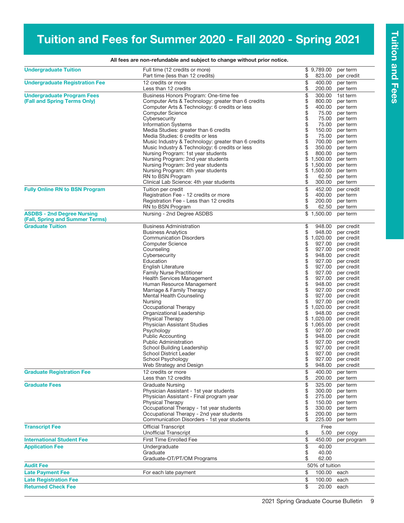# Tuition and Fees for Summer 2020 - Fall 2020 - Spring 2021

| <b>Undergraduate Tuition</b>                               | Full time (12 credits or more)                                                          |            | \$9,789.00       | per term                 |
|------------------------------------------------------------|-----------------------------------------------------------------------------------------|------------|------------------|--------------------------|
|                                                            | Part time (less than 12 credits)                                                        | \$         | 823.00           | per credit               |
| <b>Undergraduate Registration Fee</b>                      | 12 credits or more                                                                      | \$         | 400.00           | per term                 |
|                                                            | Less than 12 credits                                                                    | \$         | 200.00           | per term                 |
| <b>Undergraduate Program Fees</b>                          | Business Honors Program: One-time fee                                                   |            | 300.00           | 1st term                 |
| (Fall and Spring Terms Only)                               | Computer Arts & Technology: greater than 6 credits                                      | \$\$\$\$\$ | 800.00           | per term                 |
|                                                            | Computer Arts & Technology: 6 credits or less                                           |            | 400.00           | per term                 |
|                                                            | <b>Computer Science</b>                                                                 |            | 75.00            | per term                 |
|                                                            | Cybersecurity                                                                           |            | 75.00            | per term                 |
|                                                            | <b>Information Systems</b>                                                              | \$         | 75.00            | per term                 |
|                                                            | Media Studies: greater than 6 credits                                                   |            | 150.00           | per term                 |
|                                                            | Media Studies: 6 credits or less                                                        | \$         | 75.00            | per term                 |
|                                                            | Music Industry & Technology: greater than 6 credits                                     |            | 700.00           | per term                 |
|                                                            | Music Industry & Technology: 6 credits or less                                          | \$         | 350.00           | per term                 |
|                                                            | Nursing Program: 1st year students                                                      | \$         | 800.00           | per term                 |
|                                                            | Nursing Program: 2nd year students                                                      | \$         | 1,500.00         | per term                 |
|                                                            | Nursing Program: 3rd year students                                                      | \$         | 1,500.00         | per term                 |
|                                                            | Nursing Program: 4th year students                                                      | \$         | 1,500.00         | per term                 |
|                                                            | RN to BSN Program                                                                       | \$         | 62.50            | per term                 |
|                                                            | Clinical Lab Science: 4th year students                                                 | \$         | 300.00           | per term                 |
| <b>Fully Online RN to BSN Program</b>                      | Tuition per credit                                                                      | \$         | 452.00           | per credit               |
|                                                            | Registration Fee - 12 credits or more                                                   |            | 400.00           | per term                 |
|                                                            | Registration Fee - Less than 12 credits                                                 | \$         | 200.00           | per term                 |
|                                                            | RN to BSN Program                                                                       | \$         | 62.50            | per term                 |
| <b>ASDBS - 2nd Degree Nursing</b>                          | Nursing - 2nd Degree ASDBS                                                              |            | \$1,500.00       | per term                 |
| (Fall, Spring and Summer Terms)<br><b>Graduate Tuition</b> | <b>Business Administration</b>                                                          |            | 948.00           |                          |
|                                                            | <b>Business Analytics</b>                                                               | \$<br>\$   | 948.00           | per credit<br>per credit |
|                                                            | <b>Communication Disorders</b>                                                          | \$         | 1,020.00         | per credit               |
|                                                            | <b>Computer Science</b>                                                                 | \$         | 927.00           | per credit               |
|                                                            | Counseling                                                                              | \$         | 927.00           | per credit               |
|                                                            | Cybersecurity                                                                           |            | 948.00           | per credit               |
|                                                            | Education                                                                               | \$         | 927.00           | per credit               |
|                                                            | English Literature                                                                      |            | 927.00           | per credit               |
|                                                            | <b>Family Nurse Practitioner</b>                                                        | \$         | 927.00           | per credit               |
|                                                            | <b>Health Services Management</b>                                                       |            | 927.00           | per credit               |
|                                                            | Human Resource Management                                                               | \$\$\$\$   | 948.00           | per credit               |
|                                                            | Marriage & Family Therapy                                                               |            | 927.00           | per credit               |
|                                                            | Mental Health Counseling                                                                |            | 927.00           | per credit               |
|                                                            | Nursing                                                                                 | \$         | 927.00           | per credit               |
|                                                            | Occupational Therapy                                                                    | \$         | 1,020.00         | per credit               |
|                                                            | Organizational Leadership                                                               | \$         | 948.00           | per credit               |
|                                                            | <b>Physical Therapy</b>                                                                 | \$         | 1,020.00         | per credit               |
|                                                            | <b>Physician Assistant Studies</b>                                                      | \$         | 1,065.00         | per credit               |
|                                                            | Psychology                                                                              | \$         | 927.00           | per credit               |
|                                                            | <b>Public Accounting</b>                                                                | \$         | 948.00           | per credit               |
|                                                            | <b>Public Administration</b>                                                            | \$         | 927.00           | per credit               |
|                                                            | School Building Leadership                                                              | \$         | 927.00           | per credit               |
|                                                            | School District Leader                                                                  | \$         |                  | 927.00 per credit        |
|                                                            | School Psychology                                                                       |            |                  | 927.00 per credit        |
|                                                            | Web Strategy and Design                                                                 | \$         | 948.00           | per credit               |
| <b>Graduate Registration Fee</b>                           | 12 credits or more                                                                      | \$         | 400.00           | per term                 |
|                                                            | Less than 12 credits                                                                    | \$         | 200.00           | per term                 |
| <b>Graduate Fees</b>                                       | <b>Graduate Nursing</b>                                                                 | \$         | 325.00           | per term                 |
|                                                            | Physician Assistant - 1st year students                                                 | \$         | 300.00           | per term                 |
|                                                            | Physician Assistant - Final program year                                                | \$         | 275.00           | per term                 |
|                                                            | <b>Physical Therapy</b>                                                                 | \$         | 150.00           | per term                 |
|                                                            | Occupational Therapy - 1st year students                                                | \$         | 330.00           | per term                 |
|                                                            | Occupational Therapy - 2nd year students<br>Communication Disorders - 1st year students | \$<br>\$   | 200.00<br>225.00 | per term<br>per term     |
| <b>Transcript Fee</b>                                      | <b>Official Transcript</b>                                                              |            | Free             |                          |
|                                                            | <b>Unofficial Transcript</b>                                                            | \$         | 5.00             | per copy                 |
| <b>International Student Fee</b>                           | First Time Enrolled Fee                                                                 | \$         | 450.00           | per program              |
| <b>Application Fee</b>                                     | Undergraduate                                                                           | \$         | 40.00            |                          |
|                                                            | Graduate                                                                                | \$         | 40.00            |                          |
|                                                            | Graduate-OT/PT/OM Programs                                                              | \$         | 62.00            |                          |
| <b>Audit Fee</b>                                           |                                                                                         |            | 50% of tuition   |                          |
| <b>Late Payment Fee</b>                                    | For each late payment                                                                   | \$         | 100.00           | each                     |
| <b>Late Registration Fee</b>                               |                                                                                         | \$         | 100.00           | each                     |
| <b>Returned Check Fee</b>                                  |                                                                                         | \$         | 20.00            | each                     |

#### All fees are non-refundable and subject to change without prior notice.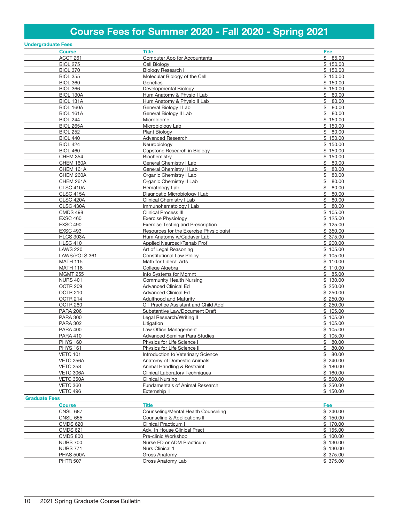# Course Fees for Summer 2020 - Fall 2020 - Spring 2021

|                      | <b>Undergraduate Fees</b> |                                          |             |
|----------------------|---------------------------|------------------------------------------|-------------|
|                      | <b>Course</b>             | <b>Title</b>                             | Fee         |
|                      | ACCT 261                  | Computer App for Accountants             | \$85.00     |
|                      | <b>BIOL 275</b>           | Cell Biology                             | \$150.00    |
|                      | <b>BIOL 370</b>           | Biology Research I                       | \$150.00    |
|                      | <b>BIOL 355</b>           | Molecular Biology of the Cell            | \$150.00    |
|                      | <b>BIOL 360</b>           | Genetics                                 | \$150.00    |
|                      | <b>BIOL 366</b>           | Developmental Biology                    | \$150.00    |
|                      |                           |                                          |             |
|                      | BIOL 130A                 | Hum Anatomy & Physio I Lab               | \$80.00     |
|                      | BIOL 131A                 | Hum Anatomy & Physio II Lab              | \$<br>80.00 |
|                      | BIOL 160A                 | General Biology I Lab                    | \$<br>80.00 |
|                      | <b>BIOL 161A</b>          | General Biology II Lab                   | \$<br>80.00 |
|                      | <b>BIOL 244</b>           | Microbiome                               | \$150.00    |
|                      | <b>BIOL 265A</b>          | Microbiology Lab                         | \$150.00    |
|                      | <b>BIOL 252</b>           | <b>Plant Biology</b>                     | \$80.00     |
|                      | <b>BIOL 440</b>           | <b>Advanced Research</b>                 | \$150.00    |
|                      | <b>BIOL 424</b>           | Neurobiology                             | \$150.00    |
|                      | <b>BIOL 460</b>           | Capstone Research in Biology             | \$150.00    |
|                      | <b>CHEM 354</b>           | Biochemistry                             | \$150.00    |
|                      | CHEM 160A                 | General Chemistry I Lab                  | \$<br>80.00 |
|                      | CHEM 161A                 | General Chemistry II Lab                 | \$<br>80.00 |
|                      | CHEM 260A                 | Organic Chemistry I Lab                  | \$<br>80.00 |
|                      | CHEM 261A                 | Organic Chemistry II Lab                 | 80.00<br>\$ |
|                      | CLSC 410A                 | Hematology Lab                           | \$<br>80.00 |
|                      |                           |                                          | \$          |
|                      | CLSC 415A                 | Diagnostic Microbiology I Lab            | 80.00       |
|                      | CLSC 420A                 | Clinical Chemistry I Lab                 | \$<br>80.00 |
|                      | <b>CLSC 430A</b>          | Immunohematology I Lab                   | \$80.00     |
|                      | <b>CMDS 498</b>           | <b>Clinical Process III</b>              | \$105.00    |
|                      | <b>EXSC 460</b>           | <b>Exercise Physiology</b>               | \$125.00    |
|                      | <b>EXSC 490</b>           | <b>Exercise Testing and Prescription</b> | \$125.00    |
|                      | <b>EXSC 493</b>           | Resources for the Exercise Physiologist  | \$350.00    |
|                      | HLCS 303A                 | Hum Anatomy w/Cadaver Lab                | \$375.00    |
|                      | <b>HLSC 410</b>           | Applied Neurosci/Rehab Prof              | \$200.00    |
|                      | <b>LAWS 220</b>           | Art of Legal Reasoning                   | \$105.00    |
|                      | LAWS/POLS 361             | <b>Constitutional Law Policy</b>         | \$105.00    |
|                      | <b>MATH 115</b>           | Math for Liberal Arts                    | \$110.00    |
|                      | <b>MATH 116</b>           | College Algebra                          | \$110.00    |
|                      | <b>MGMT 255</b>           | Info Systems for Mgmnt                   | \$85.00     |
|                      | <b>NURS 401</b>           | Community Health Nursing                 | \$130.00    |
|                      | OCTR 209                  | <b>Advanced Clinical Ed</b>              | \$250.00    |
|                      | OCTR 210                  | <b>Advanced Clinical Ed</b>              | \$250.00    |
|                      | OCTR 214                  | <b>Adulthood and Maturity</b>            | \$250.00    |
|                      | OCTR 260                  | OT Practice Assistant and Child Adol     | \$250.00    |
|                      |                           |                                          |             |
|                      | <b>PARA 206</b>           | Substantive Law/Document Draft           | \$105.00    |
|                      | <b>PARA 300</b>           | Legal Research/Writing II                | \$105.00    |
|                      | <b>PARA 302</b>           | Litigation                               | \$105.00    |
|                      | <b>PARA 400</b>           | Law Office Management                    | \$105.00    |
|                      | <b>PARA 410</b>           | <b>Advanced Seminar Para Studies</b>     | \$105.00    |
|                      | <b>PHYS 160</b>           | Physics for Life Science I               | \$80.00     |
|                      | <b>PHYS 161</b>           | Physics for Life Science II              | \$<br>80.00 |
|                      | <b>VETC 101</b>           | Introduction to Veterinary Science       | \$80.00     |
|                      | VETC 256A                 | Anatomy of Domestic Animals              | \$240.00    |
|                      | <b>VETC 258</b>           | Animal Handling & Restraint              | \$180.00    |
|                      | VETC 306A                 | <b>Clinical Laboratory Techniques</b>    | \$160.00    |
|                      | VETC 350A                 | <b>Clinical Nursing</b>                  | \$560.00    |
|                      | <b>VETC 360</b>           | Fundamentals of Animal Research          | \$250.00    |
|                      | <b>VETC 496</b>           | Externship II                            | \$150.00    |
| <b>Graduate Fees</b> |                           |                                          |             |
|                      |                           |                                          |             |
|                      | <b>Course</b>             | Title                                    | Fee         |
|                      | <b>CNSL 687</b>           | Counseling/Mental Health Counseling      | \$240.00    |
|                      | <b>CNSL 655</b>           | Counseling & Applications II             | \$150.00    |
|                      | <b>CMDS 620</b>           | Clinical Practicum I                     | \$170.00    |
|                      | <b>CMDS 621</b>           | Adv. In House Clinical Pract             | \$155.00    |
|                      | <b>CMDS 800</b>           | Pre-clinic Workshop                      | \$100.00    |
|                      | <b>NURS 700</b>           | Nurse ED or ADM Practicum                | \$130.00    |
|                      | <b>NURS 771</b>           | Nurs Clinical 1                          | \$130.00    |
|                      | PHAS 500A                 | Gross Anatomy                            | \$375.00    |
|                      | <b>PHTR 507</b>           | Gross Anatomy Lab                        | \$ 375.00   |
|                      |                           |                                          |             |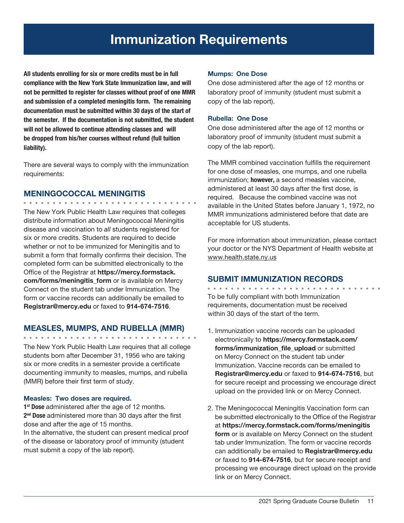# Immunization Requirements

All students enrolling for six or more credits must be in full compliance with the New York State Immunization law, and will not be permitted to register for classes without proof of one MMR and submission of a completed meningitis form. The remaining documentation must be submitted within 30 days of the start of the semester. If the documentation is not submitted, the student will not be allowed to continue attending classes and will be dropped from his/her courses without refund (full tuition liability).

There are several ways to comply with the immunization requirements:

#### MENINGOCOCCAL MENINGITIS

The New York Public Health Law requires that colleges distribute information about Meningococcal Meningitis disease and vaccination to *all* students registered for six or more credits. Students are required to decide whether or not to be immunized for Meningitis and to submit a form that formally confirms their decision. The completed form can be submitted electronically to the Office of the Registrar at https://mercy.formstack. com/forms/meningitis form or is available on Mercy Connect on the student tab under Immunization. The form or vaccine records can additionally be emailed to Registrar@mercy.edu or faxed to 914-674-7516.

#### MEASLES, MUMPS, AND RUBELLA (MMR)

The New York Public Health Law requires that all college students born after December 31, 1956 who are taking six or more credits in a semester provide a certificate documenting immunity to measles, mumps, and rubella (MMR) before their first term of study.

#### Measles: Two doses are required.

1<sup>st</sup> Dose administered after the age of 12 months. 2<sup>nd</sup> Dose administered more than 30 days after the first dose and after the age of 15 months.

In the alternative, the student can present medical proof of the disease or laboratory proof of immunity (student must submit a copy of the lab report).

#### Mumps: One Dose

One dose administered after the age of 12 months or laboratory proof of immunity (student must submit a copy of the lab report).

#### Rubella: One Dose

One dose administered after the age of 12 months or laboratory proof of immunity (student must submit a copy of the lab report).

The MMR combined vaccination fulfills the requirement for one dose of measles, one mumps, and one rubella immunization; **however**, a second measles vaccine, administered at least 30 days after the first dose, is required. Because the combined vaccine was not available in the United States before January 1, 1972, no MMR immunizations administered before that date are acceptable for US students.

For more information about immunization, please contact your doctor or the NYS Department of Health website at www.health.state.ny.us

## SUBMIT IMMUNIZATION RECORDS

To be fully compliant with both Immunization requirements, documentation must be received within 30 days of the start of the term.

- 1. Immunization vaccine records can be uploaded electronically to https://mercy.formstack.com/ forms/immunization\_file\_upload or submitted on Mercy Connect on the student tab under Immunization. Vaccine records can be emailed to Registrar@mercy.edu or faxed to 914-674-7516, but for secure receipt and processing we encourage direct upload on the provided link or on Mercy Connect.
- 2. The Meningococcal Meningitis Vaccination form can be submitted electronically to the Office of the Registrar at https://mercy.formstack.com/forms/meningitis form or is available on Mercy Connect on the student tab under Immunization. The form or vaccine records can additionally be emailed to Registrar@mercy.edu or faxed to 914-674-7516, but for secure receipt and processing we encourage direct upload on the provide link or on Mercy Connect.